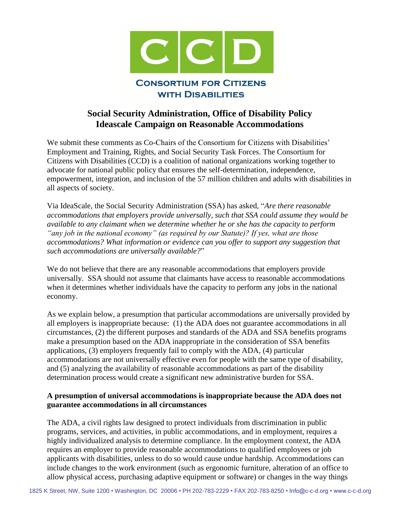

# **Social Security Administration, Office of Disability Policy Ideascale Campaign on Reasonable Accommodations**

We submit these comments as Co-Chairs of the Consortium for Citizens with Disabilities' Employment and Training, Rights, and Social Security Task Forces. The Consortium for Citizens with Disabilities (CCD) is a coalition of national organizations working together to advocate for national public policy that ensures the self-determination, independence, empowerment, integration, and inclusion of the 57 million children and adults with disabilities in all aspects of society.

Via IdeaScale, the Social Security Administration (SSA) has asked, "*Are there reasonable accommodations that employers provide universally, such that SSA could assume they would be available to any claimant when we determine whether he or she has the capacity to perform "any job in the national economy" (as required by our Statute)? If yes, what are those accommodations? What information or evidence can you offer to support any suggestion that such accommodations are universally available?*"

We do not believe that there are any reasonable accommodations that employers provide universally. SSA should not assume that claimants have access to reasonable accommodations when it determines whether individuals have the capacity to perform any jobs in the national economy.

As we explain below, a presumption that particular accommodations are universally provided by all employers is inappropriate because: (1) the ADA does not guarantee accommodations in all circumstances, (2) the different purposes and standards of the ADA and SSA benefits programs make a presumption based on the ADA inappropriate in the consideration of SSA benefits applications, (3) employers frequently fail to comply with the ADA, (4) particular accommodations are not universally effective even for people with the same type of disability, and (5) analyzing the availability of reasonable accommodations as part of the disability determination process would create a significant new administrative burden for SSA.

# **A presumption of universal accommodations is inappropriate because the ADA does not guarantee accommodations in all circumstances**

The ADA, a civil rights law designed to protect individuals from discrimination in public programs, services, and activities, in public accommodations, and in employment, requires a highly individualized analysis to determine compliance. In the employment context, the ADA requires an employer to provide reasonable accommodations to qualified employees or job applicants with disabilities, unless to do so would cause undue hardship. Accommodations can include changes to the work environment (such as ergonomic furniture, alteration of an office to allow physical access, purchasing adaptive equipment or software) or changes in the way things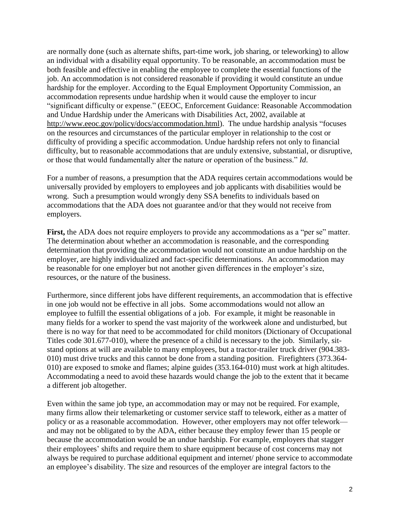are normally done (such as alternate shifts, part-time work, job sharing, or teleworking) to allow an individual with a disability equal opportunity. To be reasonable, an accommodation must be both feasible and effective in enabling the employee to complete the essential functions of the job. An accommodation is not considered reasonable if providing it would constitute an undue hardship for the employer. According to the Equal Employment Opportunity Commission, an accommodation represents undue hardship when it would cause the employer to incur "significant difficulty or expense." (EEOC, Enforcement Guidance: Reasonable Accommodation and Undue Hardship under the Americans with Disabilities Act, 2002, available at [http://www.eeoc.gov/policy/docs/accommodation.html\)](http://www.eeoc.gov/policy/docs/accommodation.html). The undue hardship analysis "focuses on the resources and circumstances of the particular employer in relationship to the cost or difficulty of providing a specific accommodation. Undue hardship refers not only to financial difficulty, but to reasonable accommodations that are unduly extensive, substantial, or disruptive, or those that would fundamentally alter the nature or operation of the business." *Id*.

For a number of reasons, a presumption that the ADA requires certain accommodations would be universally provided by employers to employees and job applicants with disabilities would be wrong. Such a presumption would wrongly deny SSA benefits to individuals based on accommodations that the ADA does not guarantee and/or that they would not receive from employers.

First, the ADA does not require employers to provide any accommodations as a "per se" matter. The determination about whether an accommodation is reasonable, and the corresponding determination that providing the accommodation would not constitute an undue hardship on the employer, are highly individualized and fact-specific determinations. An accommodation may be reasonable for one employer but not another given differences in the employer's size, resources, or the nature of the business.

Furthermore, since different jobs have different requirements, an accommodation that is effective in one job would not be effective in all jobs. Some accommodations would not allow an employee to fulfill the essential obligations of a job. For example, it might be reasonable in many fields for a worker to spend the vast majority of the workweek alone and undisturbed, but there is no way for that need to be accommodated for child monitors (Dictionary of Occupational Titles code 301.677-010), where the presence of a child is necessary to the job. Similarly, sitstand options at will are available to many employees, but a tractor-trailer truck driver (904.383- 010) must drive trucks and this cannot be done from a standing position. Firefighters (373.364- 010) are exposed to smoke and flames; alpine guides (353.164-010) must work at high altitudes. Accommodating a need to avoid these hazards would change the job to the extent that it became a different job altogether.

Even within the same job type, an accommodation may or may not be required. For example, many firms allow their telemarketing or customer service staff to telework, either as a matter of policy or as a reasonable accommodation. However, other employers may not offer telework and may not be obligated to by the ADA, either because they employ fewer than 15 people or because the accommodation would be an undue hardship. For example, employers that stagger their employees' shifts and require them to share equipment because of cost concerns may not always be required to purchase additional equipment and internet/ phone service to accommodate an employee's disability. The size and resources of the employer are integral factors to the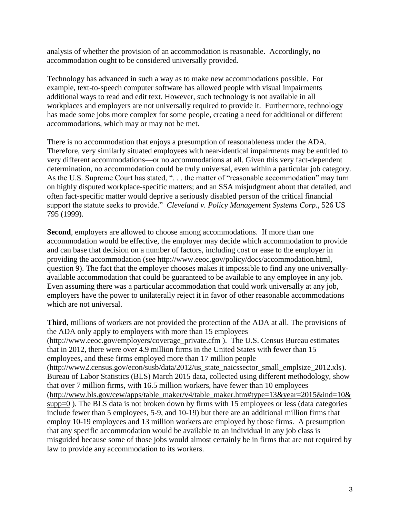analysis of whether the provision of an accommodation is reasonable. Accordingly, no accommodation ought to be considered universally provided.

Technology has advanced in such a way as to make new accommodations possible. For example, text-to-speech computer software has allowed people with visual impairments additional ways to read and edit text. However, such technology is not available in all workplaces and employers are not universally required to provide it. Furthermore, technology has made some jobs more complex for some people, creating a need for additional or different accommodations, which may or may not be met.

There is no accommodation that enjoys a presumption of reasonableness under the ADA. Therefore, very similarly situated employees with near-identical impairments may be entitled to very different accommodations—or no accommodations at all. Given this very fact-dependent determination, no accommodation could be truly universal, even within a particular job category. As the U.S. Supreme Court has stated, ". . . the matter of "reasonable accommodation" may turn on highly disputed workplace-specific matters; and an SSA misjudgment about that detailed, and often fact-specific matter would deprive a seriously disabled person of the critical financial support the statute seeks to provide." *Cleveland v. Policy Management Systems Corp.,* 526 US 795 (1999).

**Second**, employers are allowed to choose among accommodations. If more than one accommodation would be effective, the employer may decide which accommodation to provide and can base that decision on a number of factors, including cost or ease to the employer in providing the accommodation (see [http://www.eeoc.gov/policy/docs/accommodation.html,](http://www.eeoc.gov/policy/docs/accommodation.html) question 9). The fact that the employer chooses makes it impossible to find any one universallyavailable accommodation that could be guaranteed to be available to any employee in any job. Even assuming there was a particular accommodation that could work universally at any job, employers have the power to unilaterally reject it in favor of other reasonable accommodations which are not universal.

**Third**, millions of workers are not provided the protection of the ADA at all. The provisions of the ADA only apply to employers with more than 15 employees [\(http://www.eeoc.gov/employers/coverage\\_private.cfm](http://www.eeoc.gov/employers/coverage_private.cfm) ). The U.S. Census Bureau estimates that in 2012, there were over 4.9 million firms in the United States with fewer than 15 employees, and these firms employed more than 17 million people [\(http://www2.census.gov/econ/susb/data/2012/us\\_state\\_naicssector\\_small\\_emplsize\\_2012.xls\)](http://www2.census.gov/econ/susb/data/2012/us_state_naicssector_small_emplsize_2012.xls). Bureau of Labor Statistics (BLS) March 2015 data, collected using different methodology, show that over 7 million firms, with 16.5 million workers, have fewer than 10 employees [\(http://www.bls.gov/cew/apps/table\\_maker/v4/table\\_maker.htm#type=13&year=2015&ind=10&](http://www.bls.gov/cew/apps/table_maker/v4/table_maker.htm#type=13&year=2015&ind=10&supp=0) [supp=0](http://www.bls.gov/cew/apps/table_maker/v4/table_maker.htm#type=13&year=2015&ind=10&supp=0) ). The BLS data is not broken down by firms with 15 employees or less (data categories include fewer than 5 employees, 5-9, and 10-19) but there are an additional million firms that employ 10-19 employees and 13 million workers are employed by those firms. A presumption that any specific accommodation would be available to an individual in any job class is misguided because some of those jobs would almost certainly be in firms that are not required by law to provide any accommodation to its workers.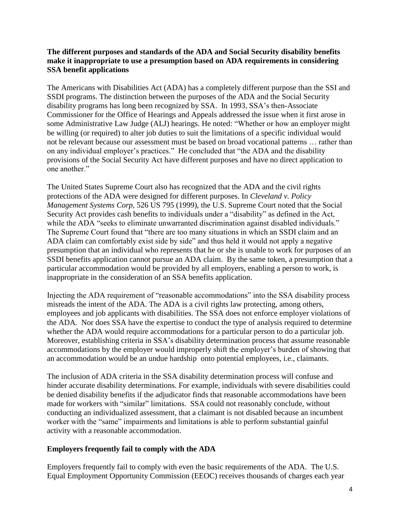### **The different purposes and standards of the ADA and Social Security disability benefits make it inappropriate to use a presumption based on ADA requirements in considering SSA benefit applications**

The Americans with Disabilities Act (ADA) has a completely different purpose than the SSI and SSDI programs. The distinction between the purposes of the ADA and the Social Security disability programs has long been recognized by SSA. In 1993, SSA's then-Associate Commissioner for the Office of Hearings and Appeals addressed the issue when it first arose in some Administrative Law Judge (ALJ) hearings. He noted: "Whether or how an employer might be willing (or required) to alter job duties to suit the limitations of a specific individual would not be relevant because our assessment must be based on broad vocational patterns … rather than on any individual employer's practices." He concluded that "the ADA and the disability provisions of the Social Security Act have different purposes and have no direct application to one another."

The United States Supreme Court also has recognized that the ADA and the civil rights protections of the ADA were designed for different purposes. In *Cleveland v. Policy Management Systems Corp,* 526 US 795 (1999), the U.S. Supreme Court noted that the Social Security Act provides cash benefits to individuals under a "disability" as defined in the Act, while the ADA "seeks to eliminate unwarranted discrimination against disabled individuals." The Supreme Court found that "there are too many situations in which an SSDI claim and an ADA claim can comfortably exist side by side" and thus held it would not apply a negative presumption that an individual who represents that he or she is unable to work for purposes of an SSDI benefits application cannot pursue an ADA claim. By the same token, a presumption that a particular accommodation would be provided by all employers, enabling a person to work, is inappropriate in the consideration of an SSA benefits application.

Injecting the ADA requirement of "reasonable accommodations" into the SSA disability process misreads the intent of the ADA. The ADA is a civil rights law protecting, among others, employees and job applicants with disabilities. The SSA does not enforce employer violations of the ADA. Nor does SSA have the expertise to conduct the type of analysis required to determine whether the ADA would require accommodations for a particular person to do a particular job. Moreover, establishing criteria in SSA's disability determination process that assume reasonable accommodations by the employer would improperly shift the employer's burden of showing that an accommodation would be an undue hardship onto potential employees, i.e., claimants.

The inclusion of ADA criteria in the SSA disability determination process will confuse and hinder accurate disability determinations. For example, individuals with severe disabilities could be denied disability benefits if the adjudicator finds that reasonable accommodations have been made for workers with "similar" limitations. SSA could not reasonably conclude, without conducting an individualized assessment, that a claimant is not disabled because an incumbent worker with the "same" impairments and limitations is able to perform substantial gainful activity with a reasonable accommodation.

# **Employers frequently fail to comply with the ADA**

Employers frequently fail to comply with even the basic requirements of the ADA. The U.S. Equal Employment Opportunity Commission (EEOC) receives thousands of charges each year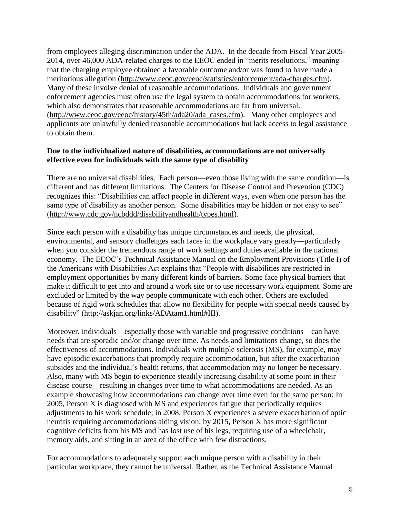from employees alleging discrimination under the ADA. In the decade from Fiscal Year 2005- 2014, over 46,000 ADA-related charges to the EEOC ended in "merits resolutions," meaning that the charging employee obtained a favorable outcome and/or was found to have made a meritorious allegation [\(http://www.eeoc.gov/eeoc/statistics/enforcement/ada-charges.cfm\)](http://www.eeoc.gov/eeoc/statistics/enforcement/ada-charges.cfm). Many of these involve denial of reasonable accommodations. Individuals and government enforcement agencies must often use the legal system to obtain accommodations for workers, which also demonstrates that reasonable accommodations are far from universal. [\(http://www.eeoc.gov/eeoc/history/45th/ada20/ada\\_cases.cfm\)](http://www.eeoc.gov/eeoc/history/45th/ada20/ada_cases.cfm). Many other employees and applicants are unlawfully denied reasonable accommodations but lack access to legal assistance to obtain them.

#### **Due to the individualized nature of disabilities, accommodations are not universally effective even for individuals with the same type of disability**

There are no universal disabilities. Each person—even those living with the same condition—is different and has different limitations. The Centers for Disease Control and Prevention (CDC) recognizes this: "Disabilities can affect people in different ways, even when one person has the same type of disability as another person. Some disabilities may be hidden or not easy to see" [\(http://www.cdc.gov/ncbddd/disabilityandhealth/types.html\)](http://www.cdc.gov/ncbddd/disabilityandhealth/types.html).

Since each person with a disability has unique circumstances and needs, the physical, environmental, and sensory challenges each faces in the workplace vary greatly—particularly when you consider the tremendous range of work settings and duties available in the national economy. The EEOC's Technical Assistance Manual on the Employment Provisions (Title I) of the Americans with Disabilities Act explains that "People with disabilities are restricted in employment opportunities by many different kinds of barriers. Some face physical barriers that make it difficult to get into and around a work site or to use necessary work equipment. Some are excluded or limited by the way people communicate with each other. Others are excluded because of rigid work schedules that allow no flexibility for people with special needs caused by disability" [\(http://askjan.org/links/ADAtam1.html#III\)](http://askjan.org/links/ADAtam1.html#III).

Moreover, individuals—especially those with variable and progressive conditions—can have needs that are sporadic and/or change over time. As needs and limitations change, so does the effectiveness of accommodations. Individuals with multiple sclerosis (MS), for example, may have episodic exacerbations that promptly require accommodation, but after the exacerbation subsides and the individual's health returns, that accommodation may no longer be necessary. Also, many with MS begin to experience steadily increasing disability at some point in their disease course—resulting in changes over time to what accommodations are needed. As an example showcasing how accommodations can change over time even for the same person: In 2005, Person X is diagnosed with MS and experiences fatigue that periodically requires adjustments to his work schedule; in 2008, Person X experiences a severe exacerbation of optic neuritis requiring accommodations aiding vision; by 2015, Person X has more significant cognitive deficits from his MS and has lost use of his legs, requiring use of a wheelchair, memory aids, and sitting in an area of the office with few distractions.

For accommodations to adequately support each unique person with a disability in their particular workplace, they cannot be universal. Rather, as the Technical Assistance Manual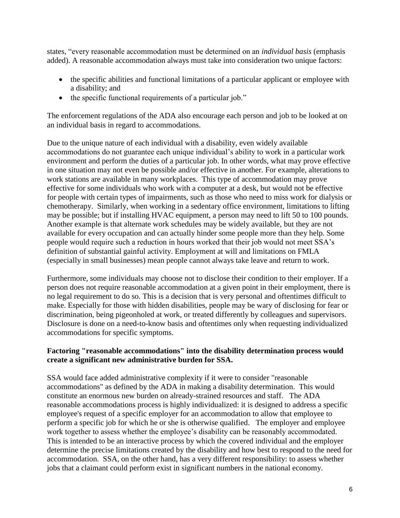states, "every reasonable accommodation must be determined on an *individual basis* (emphasis added). A reasonable accommodation always must take into consideration two unique factors:

- the specific abilities and functional limitations of a particular applicant or employee with a disability; and
- the specific functional requirements of a particular job."

The enforcement regulations of the ADA also encourage each person and job to be looked at on an individual basis in regard to accommodations.

Due to the unique nature of each individual with a disability, even widely available accommodations do not guarantee each unique individual's ability to work in a particular work environment and perform the duties of a particular job. In other words, what may prove effective in one situation may not even be possible and/or effective in another. For example, alterations to work stations are available in many workplaces. This type of accommodation may prove effective for some individuals who work with a computer at a desk, but would not be effective for people with certain types of impairments, such as those who need to miss work for dialysis or chemotherapy. Similarly, when working in a sedentary office environment, limitations to lifting may be possible; but if installing HVAC equipment, a person may need to lift 50 to 100 pounds. Another example is that alternate work schedules may be widely available, but they are not available for every occupation and can actually hinder some people more than they help. Some people would require such a reduction in hours worked that their job would not meet SSA's definition of substantial gainful activity. Employment at will and limitations on FMLA (especially in small businesses) mean people cannot always take leave and return to work.

Furthermore, some individuals may choose not to disclose their condition to their employer. If a person does not require reasonable accommodation at a given point in their employment, there is no legal requirement to do so. This is a decision that is very personal and oftentimes difficult to make. Especially for those with hidden disabilities, people may be wary of disclosing for fear or discrimination, being pigeonholed at work, or treated differently by colleagues and supervisors. Disclosure is done on a need-to-know basis and oftentimes only when requesting individualized accommodations for specific symptoms.

# **Factoring "reasonable accommodations" into the disability determination process would create a significant new administrative burden for SSA.**

SSA would face added administrative complexity if it were to consider "reasonable accommodations" as defined by the ADA in making a disability determination. This would constitute an enormous new burden on already-strained resources and staff. The ADA reasonable accommodations process is highly individualized: it is designed to address a specific employee's request of a specific employer for an accommodation to allow that employee to perform a specific job for which he or she is otherwise qualified. The employer and employee work together to assess whether the employee's disability can be reasonably accommodated. This is intended to be an interactive process by which the covered individual and the employer determine the precise limitations created by the disability and how best to respond to the need for accommodation. SSA, on the other hand, has a very different responsibility: to assess whether jobs that a claimant could perform exist in significant numbers in the national economy.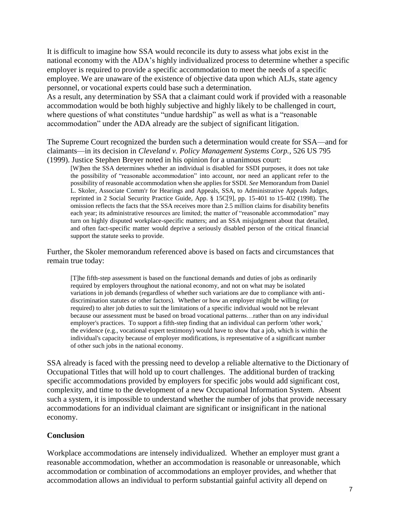It is difficult to imagine how SSA would reconcile its duty to assess what jobs exist in the national economy with the ADA's highly individualized process to determine whether a specific employer is required to provide a specific accommodation to meet the needs of a specific employee. We are unaware of the existence of objective data upon which ALJs, state agency personnel, or vocational experts could base such a determination.

As a result, any determination by SSA that a claimant could work if provided with a reasonable accommodation would be both highly subjective and highly likely to be challenged in court, where questions of what constitutes "undue hardship" as well as what is a "reasonable accommodation" under the ADA already are the subject of significant litigation.

The Supreme Court recognized the burden such a determination would create for SSA—and for claimants—in its decision in *Cleveland v. Policy Management Systems Corp.,* 526 US 795 (1999). Justice Stephen Breyer noted in his opinion for a unanimous court:

[W]hen the SSA determines whether an individual is disabled for SSDI purposes, it does not take the possibility of "reasonable accommodation" into account, nor need an applicant refer to the possibility of reasonable accommodation when she applies for SSDI. *See* Memorandum from Daniel L. Skoler, Associate Comm'r for Hearings and Appeals, SSA, to Administrative Appeals Judges, reprinted in 2 Social Security Practice Guide, App. § 15C[9], pp. 15-401 to 15-402 (1998). The omission reflects the facts that the SSA receives more than 2.5 million claims for disability benefits each year; its administrative resources are limited; the matter of "reasonable accommodation" may turn on highly disputed workplace-specific matters; and an SSA misjudgment about that detailed, and often fact-specific matter would deprive a seriously disabled person of the critical financial support the statute seeks to provide.

Further, the Skoler memorandum referenced above is based on facts and circumstances that remain true today:

[T]he fifth-step assessment is based on the functional demands and duties of jobs as ordinarily required by employers throughout the national economy, and not on what may be isolated variations in job demands (regardless of whether such variations are due to compliance with antidiscrimination statutes or other factors). Whether or how an employer might be willing (or required) to alter job duties to suit the limitations of a specific individual would not be relevant because our assessment must be based on broad vocational patterns…rather than on any individual employer's practices. To support a fifth-step finding that an individual can perform 'other work,' the evidence (e.g., vocational expert testimony) would have to show that a job, which is within the individual's capacity because of employer modifications, is representative of a significant number of other such jobs in the national economy.

SSA already is faced with the pressing need to develop a reliable alternative to the Dictionary of Occupational Titles that will hold up to court challenges. The additional burden of tracking specific accommodations provided by employers for specific jobs would add significant cost, complexity, and time to the development of a new Occupational Information System. Absent such a system, it is impossible to understand whether the number of jobs that provide necessary accommodations for an individual claimant are significant or insignificant in the national economy.

# **Conclusion**

Workplace accommodations are intensely individualized. Whether an employer must grant a reasonable accommodation, whether an accommodation is reasonable or unreasonable, which accommodation or combination of accommodations an employer provides, and whether that accommodation allows an individual to perform substantial gainful activity all depend on